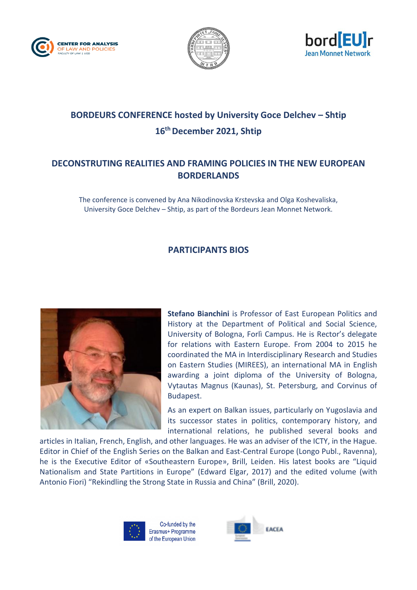





## **BORDEURS CONFERENCE hosted by University Goce Delchev – Shtip 16th December 2021, Shtip**

## **DECONSTRUTING REALITIES AND FRAMING POLICIES IN THE NEW EUROPEAN BORDERLANDS**

The conference is convened by Ana Nikodinovska Krstevska and Olga Koshevaliska, University Goce Delchev – Shtip, as part of the Bordeurs Jean Monnet Network.

## **PARTICIPANTS BIOS**



**Stefano Bianchini** is Professor of East European Politics and History at the Department of Political and Social Science, University of Bologna, Forlì Campus. He is Rector's delegate for relations with Eastern Europe. From 2004 to 2015 he coordinated the MA in Interdisciplinary Research and Studies on Eastern Studies (MIREES), an international MA in English awarding a joint diploma of the University of Bologna, Vytautas Magnus (Kaunas), St. Petersburg, and Corvinus of Budapest.

As an expert on Balkan issues, particularly on Yugoslavia and its successor states in politics, contemporary history, and international relations, he published several books and

articles in Italian, French, English, and other languages. He was an adviser of the ICTY, in the Hague. Editor in Chief of the English Series on the Balkan and East-Central Europe (Longo Publ., Ravenna), he is the Executive Editor of «Southeastern Europe», Brill, Leiden. His latest books are "Liquid Nationalism and State Partitions in Europe" (Edward Elgar, 2017) and the edited volume (with Antonio Fiori) "Rekindling the Strong State in Russia and China" (Brill, 2020).



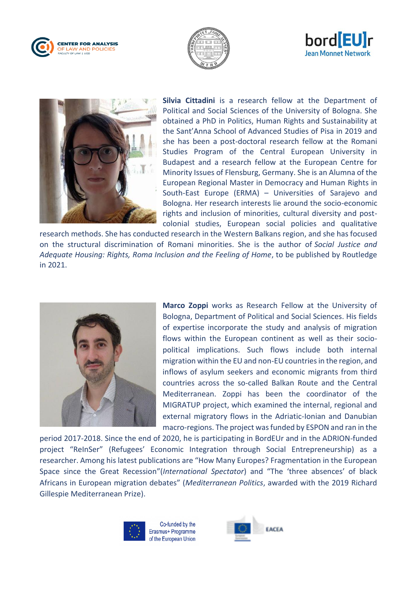







**Silvia Cittadini** is a research fellow at the Department of Political and Social Sciences of the University of Bologna. She obtained a PhD in Politics, Human Rights and Sustainability at the Sant'Anna School of Advanced Studies of Pisa in 2019 and she has been a post-doctoral research fellow at the Romani Studies Program of the Central European University in Budapest and a research fellow at the European Centre for Minority Issues of Flensburg, Germany. She is an Alumna of the European Regional Master in Democracy and Human Rights in South-East Europe (ERMA) – Universities of Sarajevo and Bologna. Her research interests lie around the socio-economic rights and inclusion of minorities, cultural diversity and postcolonial studies, European social policies and qualitative

research methods. She has conducted research in the Western Balkans region, and she has focused on the structural discrimination of Romani minorities. She is the author of *Social Justice and Adequate Housing: Rights, Roma Inclusion and the Feeling of Home*, to be published by Routledge in 2021.



**Marco Zoppi** works as Research Fellow at the University of Bologna, Department of Political and Social Sciences. His fields of expertise incorporate the study and analysis of migration flows within the European continent as well as their sociopolitical implications. Such flows include both internal migration within the EU and non-EU countries in the region, and inflows of asylum seekers and economic migrants from third countries across the so-called Balkan Route and the Central Mediterranean. Zoppi has been the coordinator of the MIGRATUP project, which examined the internal, regional and external migratory flows in the Adriatic-Ionian and Danubian macro-regions. The project was funded by ESPON and ran in the

period 2017-2018. Since the end of 2020, he is participating in BordEUr and in the ADRION-funded project "ReInSer" (Refugees' Economic Integration through Social Entrepreneurship) as a researcher. Among his latest publications are "How Many Europes? Fragmentation in the European Space since the Great Recession"(*International Spectator*) and "The 'three absences' of black Africans in European migration debates" (*Mediterranean Politics*, awarded with the 2019 Richard Gillespie Mediterranean Prize).



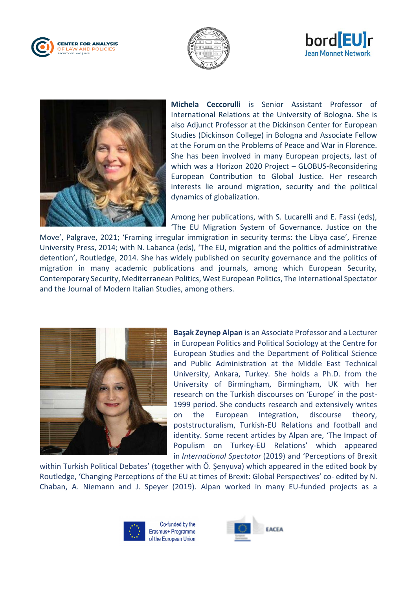







**Michela Ceccorulli** is Senior Assistant Professor of International Relations at the University of Bologna. She is also Adjunct Professor at the Dickinson Center for European Studies (Dickinson College) in Bologna and Associate Fellow at the Forum on the Problems of Peace and War in Florence. She has been involved in many European projects, last of which was a Horizon 2020 Project – GLOBUS-Reconsidering European Contribution to Global Justice. Her research interests lie around migration, security and the political dynamics of globalization.

Among her publications, with S. Lucarelli and E. Fassi (eds), 'The EU Migration System of Governance. Justice on the

Move', Palgrave, 2021; 'Framing irregular immigration in security terms: the Libya case', Firenze University Press, 2014; with N. Labanca (eds), 'The EU, migration and the politics of administrative detention', Routledge, 2014. She has widely published on security governance and the politics of migration in many academic publications and journals, among which European Security, Contemporary Security, Mediterranean Politics, West European Politics, The International Spectator and the Journal of Modern Italian Studies, among others.



**Başak Zeynep Alpan** is an Associate Professor and a Lecturer in European Politics and Political Sociology at the Centre for European Studies and the Department of Political Science and Public Administration at the Middle East Technical University, Ankara, Turkey. She holds a Ph.D. from the University of Birmingham, Birmingham, UK with her research on the Turkish discourses on 'Europe' in the post-1999 period. She conducts research and extensively writes on the European integration, discourse theory, poststructuralism, Turkish-EU Relations and football and identity. Some recent articles by Alpan are, 'The Impact of Populism on Turkey-EU Relations' which appeared in *International Spectator* (2019) and 'Perceptions of Brexit

within Turkish Political Debates' (together with Ö. Şenyuva) which appeared in the edited book by Routledge, 'Changing Perceptions of the EU at times of Brexit: Global Perspectives' co- edited by N. Chaban, A. Niemann and J. Speyer (2019). Alpan worked in many EU-funded projects as a



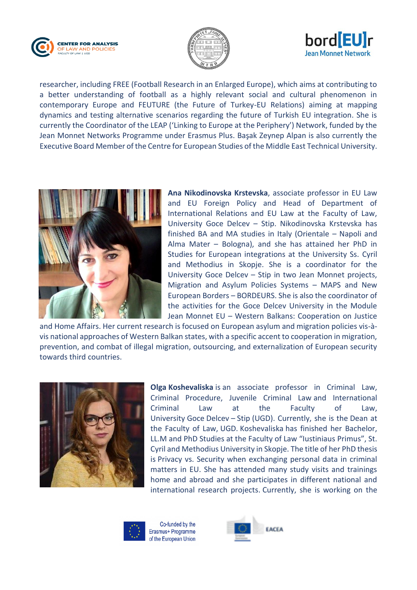





researcher, including FREE (Football Research in an Enlarged Europe), which aims at contributing to a better understanding of football as a highly relevant social and cultural phenomenon in contemporary Europe and FEUTURE (the Future of Turkey-EU Relations) aiming at mapping dynamics and testing alternative scenarios regarding the future of Turkish EU integration. She is currently the Coordinator of the LEAP ('Linking to Europe at the Periphery') Network, funded by the Jean Monnet Networks Programme under Erasmus Plus. Başak Zeynep Alpan is also currently the Executive Board Member of the Centre for European Studies of the Middle East Technical University.



**Ana Nikodinovska Krstevska**, associate professor in EU Law and EU Foreign Policy and Head of Department of International Relations and EU Law at the Faculty of Law, University Goce Delcev – Stip. Nikodinovska Krstevska has finished BA and MA studies in Italy (Orientale – Napoli and Alma Mater – Bologna), and she has attained her PhD in Studies for European integrations at the University Ss. Cyril and Methodius in Skopje. She is a coordinator for the University Goce Delcev – Stip in two Jean Monnet projects, Migration and Asylum Policies Systems – MAPS and New European Borders – BORDEURS. She is also the coordinator of the activities for the Goce Delcev University in the Module Jean Monnet EU – Western Balkans: Cooperation on Justice

and Home Affairs. Her current research is focused on European asylum and migration policies vis-àvis national approaches of Western Balkan states, with a specific accent to cooperation in migration, prevention, and combat of illegal migration, outsourcing, and externalization of European security towards third countries.



**Olga Koshevaliska** is an associate professor in Criminal Law, Criminal Procedure, Juvenile Criminal Law and International Criminal Law at the Faculty of Law, University Goce Delcev – Stip (UGD). Currently, she is the Dean at the Faculty of Law, UGD. Koshevaliska has finished her Bachelor, LL.M and PhD Studies at the Faculty of Law "Iustiniaus Primus", St. Cyril and Methodius University in Skopje. The title of her PhD thesis is Privacy vs. Security when exchanging personal data in criminal matters in EU. She has attended many study visits and trainings home and abroad and she participates in different national and international research projects. Currently, she is working on the



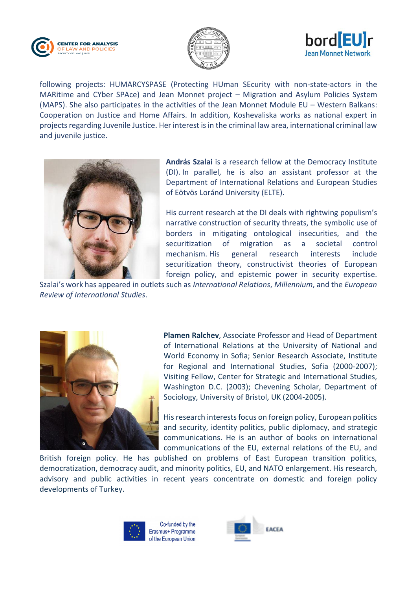





following projects: HUMARCYSPASE (Protecting HUman SEcurity with non-state-actors in the MARitime and CYber SPAce) and Jean Monnet project – Migration and Asylum Policies System (MAPS). She also participates in the activities of the Jean Monnet Module EU – Western Balkans: Cooperation on Justice and Home Affairs. In addition, Koshevaliska works as national expert in projects regarding Juvenile Justice. Her interest is in the criminal law area, international criminal law and juvenile justice.



**András Szalai** is a research fellow at the Democracy Institute (DI). In parallel, he is also an assistant professor at the Department of International Relations and European Studies of Eötvös Loránd University (ELTE).

His current research at the DI deals with rightwing populism's narrative construction of security threats, the symbolic use of borders in mitigating ontological insecurities, and the securitization of migration as a societal control mechanism. His general research interests include securitization theory, constructivist theories of European foreign policy, and epistemic power in security expertise.

Szalai's work has appeared in outlets such as *International Relations*, *Millennium*, and the *European Review of International Studies*.



**Plamen Ralchev**, Associate Professor and Head of Department of International Relations at the University of National and World Economy in Sofia; Senior Research Associate, Institute for Regional and International Studies, Sofia (2000-2007); Visiting Fellow, Center for Strategic and International Studies, Washington D.C. (2003); Chevening Scholar, Department of Sociology, University of Bristol, UK (2004-2005).

His research interests focus on foreign policy, European politics and security, identity politics, public diplomacy, and strategic communications. He is an author of books on international communications of the EU, external relations of the EU, and

British foreign policy. He has published on problems of East European transition politics, democratization, democracy audit, and minority politics, EU, and NATO enlargement. His research, advisory and public activities in recent years concentrate on domestic and foreign policy developments of Turkey.



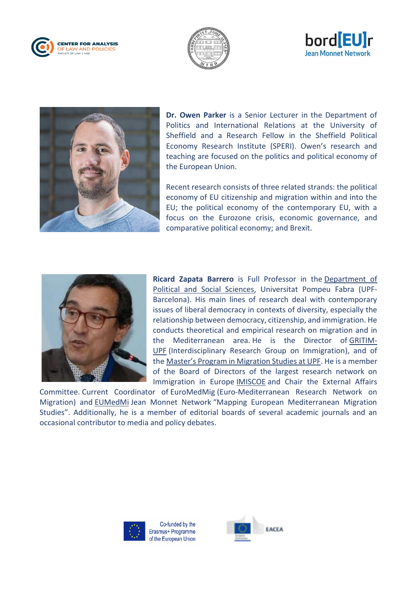







**Dr. Owen Parker** is a Senior Lecturer in the Department of Politics and International Relations at the University of Sheffield and a Research Fellow in the Sheffield Political Economy Research Institute (SPERI). Owen's research and teaching are focused on the politics and political economy of the European Union.

Recent research consists of three related strands: the political economy of EU citizenship and migration within and into the EU; the political economy of the contemporary EU, with a focus on the Eurozone crisis, economic governance, and comparative political economy; and Brexit.



**Ricard Zapata Barrero** is Full Professor in the [Department of](http://www.upf.edu/dcpis/en/)  [Political and Social Sciences,](http://www.upf.edu/dcpis/en/) Universitat Pompeu Fabra (UPF-Barcelona). His main lines of research deal with contemporary issues of liberal democracy in contexts of diversity, especially the relationship between democracy, citizenship, and immigration. He conducts theoretical and empirical research on migration and in the Mediterranean area. He is the Director of [GRITIM-](http://www.upf.edu/gritim/)[UPF](http://www.upf.edu/gritim/) (Interdisciplinary Research Group on Immigration), and of the [Master's Program in Migration Studies at UPF](https://www.upf.edu/immigrationmanagement/en/). He is a member of the Board of Directors of the largest research network on Immigration in Europe [IMISCOE](http://www.imiscoe.org/) and Chair the External Affairs

Committee. Current Coordinator of EuroMedMig (Euro-Mediterranean Research Network on Migration) and [EUMedMi](https://www.upf.edu/web/gritim/news/-/asset_publisher/GcIdyAQFCyDE/content/id/228415971/maximized#.XbB5a-gzbct) Jean Monnet Network "Mapping European Mediterranean Migration Studies". Additionally, he is a member of editorial boards of several academic journals and an occasional contributor to media and policy debates.